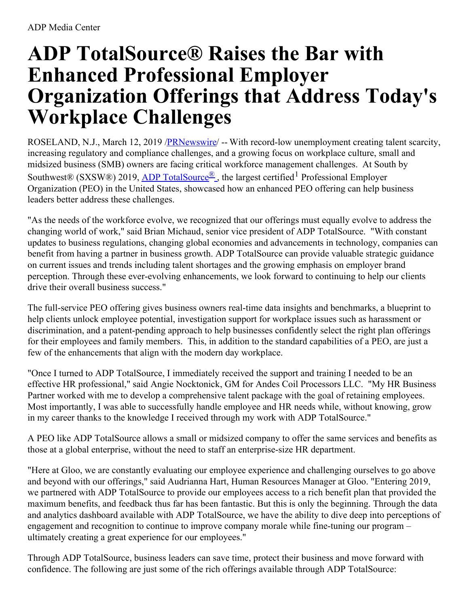# **ADP TotalSource® Raises the Bar with Enhanced Professional Employer Organization Offerings that Address Today's Workplace Challenges**

ROSELAND, N.J., March 12, 2019 [/PRNewswire](http://www.prnewswire.com/)/ -- With record-low unemployment creating talent scarcity, increasing regulatory and compliance challenges, and a growing focus on workplace culture, small and midsized business (SMB) owners are facing critical workforce management challenges. At South by Southwest® (SXSW®) 2019, ADP [TotalSource](https://c212.net/c/link/?t=0&l=en&o=2398851-1&h=1501280902&u=https%3A%2F%2Fwww.adp.com%2Four-products%2Ftotalsource%2Fwhy-totalsource.aspx&a=ADP+TotalSource%C2%AE)<sup>®</sup>, the largest certified<sup>1</sup> Professional Employer Organization (PEO) in the United States, showcased how an enhanced PEO offering can help business leaders better address these challenges.

"As the needs of the workforce evolve, we recognized that our offerings must equally evolve to address the changing world of work," said Brian Michaud, senior vice president of ADP TotalSource. "With constant updates to business regulations, changing global economies and advancements in technology, companies can benefit from having a partner in business growth. ADP TotalSource can provide valuable strategic guidance on current issues and trends including talent shortages and the growing emphasis on employer brand perception. Through these ever-evolving enhancements, we look forward to continuing to help our clients drive their overall business success."

The full-service PEO offering gives business owners real-time data insights and benchmarks, a blueprint to help clients unlock employee potential, investigation support for workplace issues such as harassment or discrimination, and a patent-pending approach to help businesses confidently select the right plan offerings for their employees and family members. This, in addition to the standard capabilities of a PEO, are just a few of the enhancements that align with the modern day workplace.

"Once I turned to ADP TotalSource, I immediately received the support and training I needed to be an effective HR professional," said Angie Nocktonick, GM for Andes Coil Processors LLC. "My HR Business Partner worked with me to develop a comprehensive talent package with the goal of retaining employees. Most importantly, I was able to successfully handle employee and HR needs while, without knowing, grow in my career thanks to the knowledge I received through my work with ADP TotalSource."

A PEO like ADP TotalSource allows a small or midsized company to offer the same services and benefits as those at a global enterprise, without the need to staff an enterprise-size HR department.

"Here at Gloo, we are constantly evaluating our employee experience and challenging ourselves to go above and beyond with our offerings," said Audrianna Hart, Human Resources Manager at Gloo. "Entering 2019, we partnered with ADP TotalSource to provide our employees access to a rich benefit plan that provided the maximum benefits, and feedback thus far has been fantastic. But this is only the beginning. Through the data and analytics dashboard available with ADP TotalSource, we have the ability to dive deep into perceptions of engagement and recognition to continue to improve company morale while fine-tuning our program – ultimately creating a great experience for our employees."

Through ADP TotalSource, business leaders can save time, protect their business and move forward with confidence. The following are just some of the rich offerings available through ADP TotalSource: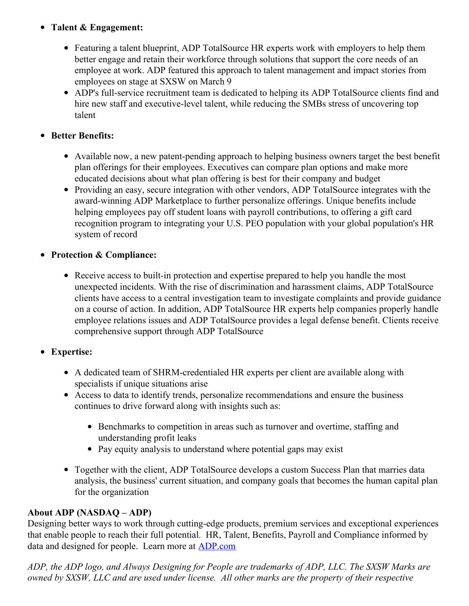## **Talent & Engagement:**

- Featuring a talent blueprint, ADP TotalSource HR experts work with employers to help them better engage and retain their workforce through solutions that support the core needs of an employee at work. ADP featured this approach to talent management and impact stories from employees on stage at SXSW on March 9
- ADP's full-service recruitment team is dedicated to helping its ADP TotalSource clients find and hire new staff and executive-level talent, while reducing the SMBs stress of uncovering top talent

### **Better Benefits:**

- Available now, a new patent-pending approach to helping business owners target the best benefit plan offerings for their employees. Executives can compare plan options and make more educated decisions about what plan offering is best for their company and budget
- Providing an easy, secure integration with other vendors, ADP TotalSource integrates with the award-winning ADP Marketplace to further personalize offerings. Unique benefits include helping employees pay off student loans with payroll contributions, to offering a gift card recognition program to integrating your U.S. PEO population with your global population's HR system of record

### **Protection & Compliance:**

• Receive access to built-in protection and expertise prepared to help you handle the most unexpected incidents. With the rise of discrimination and harassment claims, ADP TotalSource clients have access to a central investigation team to investigate complaints and provide guidance on a course of action. In addition, ADP TotalSource HR experts help companies properly handle employee relations issues and ADP TotalSource provides a legal defense benefit. Clients receive comprehensive support through ADP TotalSource

## **Expertise:**

- A dedicated team of SHRM-credentialed HR experts per client are available along with specialists if unique situations arise
- Access to data to identify trends, personalize recommendations and ensure the business continues to drive forward along with insights such as:
	- Benchmarks to competition in areas such as turnover and overtime, staffing and understanding profit leaks
	- Pay equity analysis to understand where potential gaps may exist
- Together with the client, ADP TotalSource develops a custom Success Plan that marries data analysis, the business' current situation, and company goals that becomes the human capital plan for the organization

#### **About ADP (NASDAQ – ADP)**

Designing better ways to work through cutting-edge products, premium services and exceptional experiences that enable people to reach their full potential. HR, Talent, Benefits, Payroll and Compliance informed by data and designed for people. Learn more at [ADP.com](https://c212.net/c/link/?t=0&l=en&o=2398851-1&h=455535268&u=http%3A%2F%2Fadp.com%2F&a=ADP.com)

*ADP, the ADP logo, and Always Designing for People are trademarks of ADP, LLC. The SXSW Marks are* owned by SXSW, LLC and are used under license. All other marks are the property of their respective